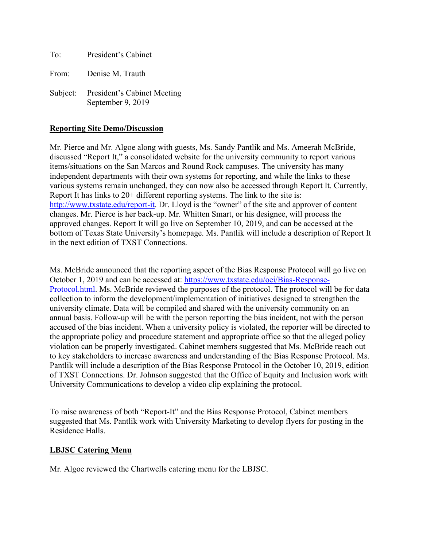To: President's Cabinet From: Denise M. Trauth Subject: President's Cabinet Meeting

September 9, 2019

# **Reporting Site Demo/Discussion**

Mr. Pierce and Mr. Algoe along with guests, Ms. Sandy Pantlik and Ms. Ameerah McBride, discussed "Report It," a consolidated website for the university community to report various items/situations on the San Marcos and Round Rock campuses. The university has many independent departments with their own systems for reporting, and while the links to these various systems remain unchanged, they can now also be accessed through Report It. Currently, Report It has links to 20+ different reporting systems. The link to the site is: [http://www.txstate.edu/report-it.](http://www.txstate.edu/report-it) Dr. Lloyd is the "owner" of the site and approver of content changes. Mr. Pierce is her back-up. Mr. Whitten Smart, or his designee, will process the approved changes. Report It will go live on September 10, 2019, and can be accessed at the bottom of Texas State University's homepage. Ms. Pantlik will include a description of Report It in the next edition of TXST Connections.

Ms. McBride announced that the reporting aspect of the Bias Response Protocol will go live on October 1, 2019 and can be accessed at: [https://www.txstate.edu/oei/Bias-Response-](https://www.txstate.edu/oei/Bias-Response-Protocol.html)[Protocol.html.](https://www.txstate.edu/oei/Bias-Response-Protocol.html) Ms. McBride reviewed the purposes of the protocol. The protocol will be for data collection to inform the development/implementation of initiatives designed to strengthen the university climate. Data will be compiled and shared with the university community on an annual basis. Follow-up will be with the person reporting the bias incident, not with the person accused of the bias incident. When a university policy is violated, the reporter will be directed to the appropriate policy and procedure statement and appropriate office so that the alleged policy violation can be properly investigated. Cabinet members suggested that Ms. McBride reach out to key stakeholders to increase awareness and understanding of the Bias Response Protocol. Ms. Pantlik will include a description of the Bias Response Protocol in the October 10, 2019, edition of TXST Connections. Dr. Johnson suggested that the Office of Equity and Inclusion work with University Communications to develop a video clip explaining the protocol.

To raise awareness of both "Report-It" and the Bias Response Protocol, Cabinet members suggested that Ms. Pantlik work with University Marketing to develop flyers for posting in the Residence Halls.

## **LBJSC Catering Menu**

Mr. Algoe reviewed the Chartwells catering menu for the LBJSC.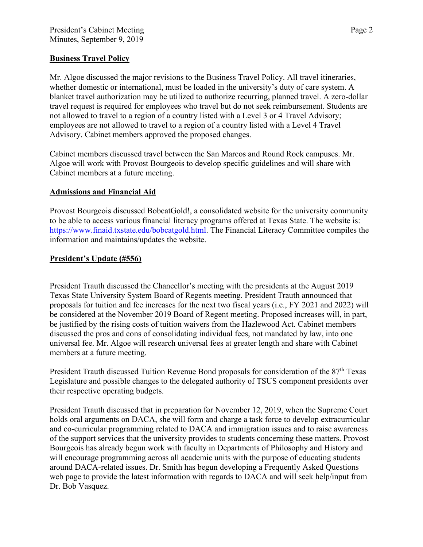## **Business Travel Policy**

Mr. Algoe discussed the major revisions to the Business Travel Policy. All travel itineraries, whether domestic or international, must be loaded in the university's duty of care system. A blanket travel authorization may be utilized to authorize recurring, planned travel. A zero-dollar travel request is required for employees who travel but do not seek reimbursement. Students are not allowed to travel to a region of a country listed with a Level 3 or 4 Travel Advisory; employees are not allowed to travel to a region of a country listed with a Level 4 Travel Advisory. Cabinet members approved the proposed changes.

Cabinet members discussed travel between the San Marcos and Round Rock campuses. Mr. Algoe will work with Provost Bourgeois to develop specific guidelines and will share with Cabinet members at a future meeting.

#### **Admissions and Financial Aid**

Provost Bourgeois discussed BobcatGold!, a consolidated website for the university community to be able to access various financial literacy programs offered at Texas State. The website is: [https://www.finaid.txstate.edu/bobcatgold.html.](https://www.finaid.txstate.edu/bobcatgold.html) The Financial Literacy Committee compiles the information and maintains/updates the website.

#### **President's Update (#556)**

President Trauth discussed the Chancellor's meeting with the presidents at the August 2019 Texas State University System Board of Regents meeting. President Trauth announced that proposals for tuition and fee increases for the next two fiscal years (i.e., FY 2021 and 2022) will be considered at the November 2019 Board of Regent meeting. Proposed increases will, in part, be justified by the rising costs of tuition waivers from the Hazlewood Act. Cabinet members discussed the pros and cons of consolidating individual fees, not mandated by law, into one universal fee. Mr. Algoe will research universal fees at greater length and share with Cabinet members at a future meeting.

President Trauth discussed Tuition Revenue Bond proposals for consideration of the 87<sup>th</sup> Texas Legislature and possible changes to the delegated authority of TSUS component presidents over their respective operating budgets.

President Trauth discussed that in preparation for November 12, 2019, when the Supreme Court holds oral arguments on DACA, she will form and charge a task force to develop extracurricular and co-curricular programming related to DACA and immigration issues and to raise awareness of the support services that the university provides to students concerning these matters. Provost Bourgeois has already begun work with faculty in Departments of Philosophy and History and will encourage programming across all academic units with the purpose of educating students around DACA-related issues. Dr. Smith has begun developing a Frequently Asked Questions web page to provide the latest information with regards to DACA and will seek help/input from Dr. Bob Vasquez.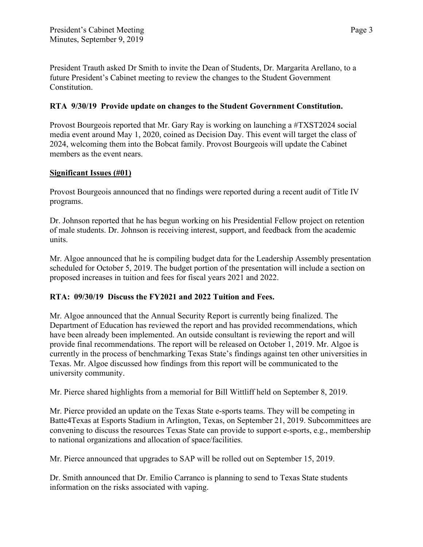President Trauth asked Dr Smith to invite the Dean of Students, Dr. Margarita Arellano, to a future President's Cabinet meeting to review the changes to the Student Government Constitution.

# **RTA 9/30/19 Provide update on changes to the Student Government Constitution.**

Provost Bourgeois reported that Mr. Gary Ray is working on launching a #TXST2024 social media event around May 1, 2020, coined as Decision Day. This event will target the class of 2024, welcoming them into the Bobcat family. Provost Bourgeois will update the Cabinet members as the event nears.

## **Significant Issues (#01)**

Provost Bourgeois announced that no findings were reported during a recent audit of Title IV programs.

Dr. Johnson reported that he has begun working on his Presidential Fellow project on retention of male students. Dr. Johnson is receiving interest, support, and feedback from the academic units.

Mr. Algoe announced that he is compiling budget data for the Leadership Assembly presentation scheduled for October 5, 2019. The budget portion of the presentation will include a section on proposed increases in tuition and fees for fiscal years 2021 and 2022.

## **RTA: 09/30/19 Discuss the FY2021 and 2022 Tuition and Fees.**

Mr. Algoe announced that the Annual Security Report is currently being finalized. The Department of Education has reviewed the report and has provided recommendations, which have been already been implemented. An outside consultant is reviewing the report and will provide final recommendations. The report will be released on October 1, 2019. Mr. Algoe is currently in the process of benchmarking Texas State's findings against ten other universities in Texas. Mr. Algoe discussed how findings from this report will be communicated to the university community.

Mr. Pierce shared highlights from a memorial for Bill Wittliff held on September 8, 2019.

Mr. Pierce provided an update on the Texas State e-sports teams. They will be competing in Batte4Texas at Esports Stadium in Arlington, Texas, on September 21, 2019. Subcommittees are convening to discuss the resources Texas State can provide to support e-sports, e.g., membership to national organizations and allocation of space/facilities.

Mr. Pierce announced that upgrades to SAP will be rolled out on September 15, 2019.

Dr. Smith announced that Dr. Emilio Carranco is planning to send to Texas State students information on the risks associated with vaping.